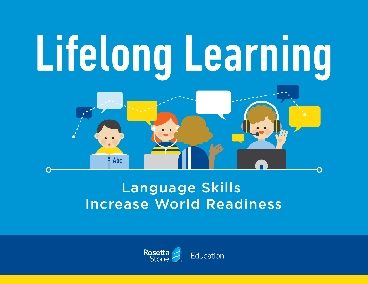

# Language Skills Increase World Readiness

 $Abc$ 

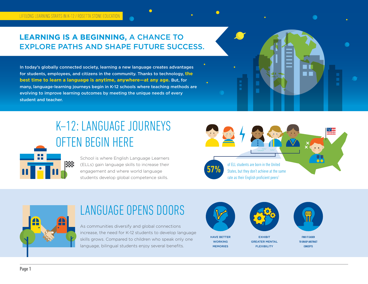## **LEARNING IS A BEGINNING,** A CHANCE TO EXPLORE PATHS AND SHAPE FUTURE SUCCESS.

In today's globally connected society, learning a new language creates advantages for students, employees, and citizens in the community. Thanks to technology, **the best time to learn a language is anytime, anywhere—at any age.** But, for many, language-learning journeys begin in K-12 schools where teaching methods are evolving to improve learning outcomes by meeting the unique needs of every student and teacher.

# K–12: LANGUAGE JOURNEYS OFTEN BEGIN HERE

School is where English Language Learners (ELLs) gain language skills to increase their engagement and where world language students develop global competence skills.





nT-1

## LANGUAGE OPENS DOORS

As communities diversify and global connections increase, the need for K-12 students to develop language skills grows. Compared to children who speak only one language, bilingual students enjoy several benefits.



HAVE BETTER WORKING MEMORIES



EXHIBIT GREATER MENTAL **FLEXIBILITY** 

FIND IT EASIER TO GRASP ABSTRACT **CONCEPTS**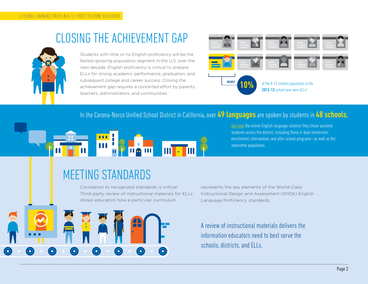## CLOSING THE ACHIEVEMENT GAP



 $\bullet$ 

 $\bigodot$ 

Students with little or no English proficiency will be the fastest-growing population segment in the U.S. over the next decade. English proficiency is critical to prepare ELLs for strong academic performance, graduation, and subsequent college and career success. Closing the achievement gap requires a concerted effort by parents, teachers, administrators, and communities.



#### In the Corona-Norco Unified School District in California, over 49 languages are spoken by students in 48 schools.



[See how](http://resources.rosettastone.com/CDN/us/pdfs/Corona-Norco-Case-Study-K12.pdf) the online English language solution they chose assisted students across the district, including those in dual-immersion, enrichment, intervention, and after school programs—as well as the newcomer population.

## MEETING STANDARDS

 $\odot$ 

 $\bigcirc$ 

Correlation to recognized standards is critical. Third-party review of instructional materials for ELLs shows educators how a particular curriculum

 $\bigcirc$ 

 $\odot$ 

represents the key elements of the World-Class Instructional Design and Assessment (WIDA) English Language Proficiency standards.

A review of instructional materials delivers the information educators need to best serve the schools, districts, and ELLs.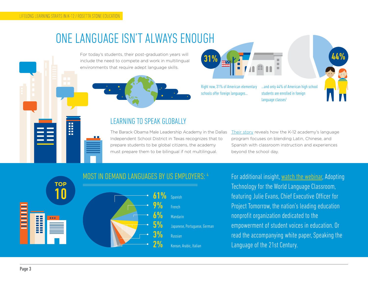H

## ONE LANGUAGE ISN'T ALWAYS ENOUGH

For today's students, their post-graduation years will include the need to compete and work in multilingual environments that require adept language skills.





Right now, 31% of American elementary schools offer foreign languages...

...and only 44% of American high school students are enrolled in foreign language  $classes<sup>3</sup>$ 

### LEARNING TO SPEAK GLOBALLY

The Barack Obama Male Leadership Academy in the Dallas Independent School District in Texas recognizes that to prepare students to be global citizens, the academy must prepare them to be bilingual if not multilingual.

[Their story](http://resources.rosettastone.com/CDN/us/pdfs/BOMLA-Case-Study-K12.pdf) reveals how the K-12 academy's language program focuses on blending Latin, Chinese, and Spanish with classroom instruction and experiences beyond the school day.



## MOST IN DEMAND LANGUAGES BY US EMPLOYERS: 4

For additional insight, [watch the webinar,](http://resources.rosettastone.com/CDN/us/videos/Adopting-Technology-for-World-Lang-Class.mp4) Adopting Technology for the World Language Classroom, featuring Julie Evans, Chief Executive Officer for Project Tomorrow, the nation's leading education nonprofit organization dedicated to the empowerment of student voices in education. Or read the accompanying white paper, Speaking the Language of the 21st Century.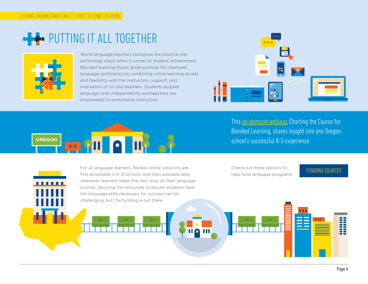# PUTTING IT ALL TOGETHER



. . . . . .

World language teachers recognize the positive role technology plays when it comes to student achievement. Blended learning shows great promise for improved language proficiency by combining online learning access and flexibility with the instruction, support, and motivation of on-site teachers. Students acquire language skills independently and teachers are empowered to personalize instruction.



This **on-demand webinar**, Charting the Course for Blended Learning, shares insight into one Oregon school's successful K-5 experience.



For all language learners, flexible online solutions are first accessible in K-12 schools and then available later whenever learners make the next stop on their language journey. Securing the resources to ensure students have the language skills necessary for success can be

Check out these options to Eneck out these options to<br>help fund language programs: [FUNDING SOURCES](http://www.rosettastone.com/k12/funding-sources)

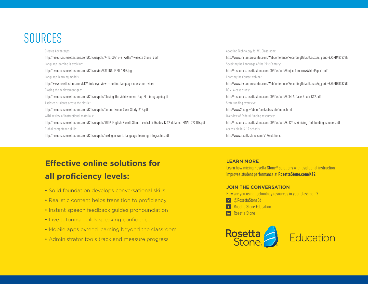## SOURCES

Creates Advantages: http://resources.rosettastone.com/CDN/us/pdfs/K-12/CDE13-STRATEGY-Rosetta Stone\_V.pdf Language learning is evolving: http://resources.rosettastone.com/CDN/us/ins/PST-INS-INFO-1303.jpg Language-learning models: http://www.rosettastone.com/k12/birds-eye-view-rs-online-language-classroom-video Closing the achievement gap: http://resources.rosettastone.com/CDN/us/pdfs/Closing-the-Achievement-Gap-ELL-infographic.pdf Assisted students across the district: http://resources.rosettastone.com/CDN/us/pdfs/Corona-Norco-Case-Study-K12.pdf WIDA review of instructional materials: http://resources.rosettastone.com/CDN/us/pdfs/WIDA-English-RosettaStone-Levels1-5-Grades-K-12-detailed-FINAL-073109.pdf Global competence skills: http://resources.rosettastone.com/CDN/us/pdfs/next-gen-world-language-learning-infographic.pdf

Adopting Technology for WL Classroom: http://www.instantpresenter.com/WebConference/RecordingDefault.aspx?c\_psrid=EA57DA87874E Speaking the Language of the 21st Century: http://resources.rosettastone.com/CDN/us/pdfs/ProjectTomorrowWhitePaper1.pdf Charting the Course webinar: http://www.instantpresenter.com/WebConference/RecordingDefault.aspx?c\_psrid=EA55DF808748 BOMLA case study: http://resources.rosettastone.com/CDN/us/pdfs/BOMLA-Case-Study-K12.pdf State funding overview: http://www2.ed.gov/about/contacts/state/index.html Overview of Federal funding resources: http://resources.rosettastone.com/CDN/us/pdfs/K-12/maximizing\_fed\_funding\_sources.pdf Accessible in K-12 schools: http://www.rosettastone.com/k12/solutions

## **Effective online solutions for all proficiency levels:**

- Solid foundation develops conversational skills
- Realistic content helps transition to proficiency
- Instant speech feedback guides pronounciation
- Live tutoring builds speaking confidence
- Mobile apps extend learning beyond the classroom
- Administrator tools track and measure progress

#### **LEARN MORE**

Learn how mixing Rosetta Stone® solutions with traditional instruction improves student performance at [RosettaStone.com/K12](http://www.rosettastone.com/k12/home/)

#### **JOIN THE CONVERSATION**

How are you using technology resources in your classroom?

- [@RosettaStoneEd](https://twitter.com/rosettastoneed)
- [Rosetta Stone Education](https://www.facebook.com/RosettaStoneEducation)
- **In** [Rosetta Stone](https://www.linkedin.com/company/rosettastone)